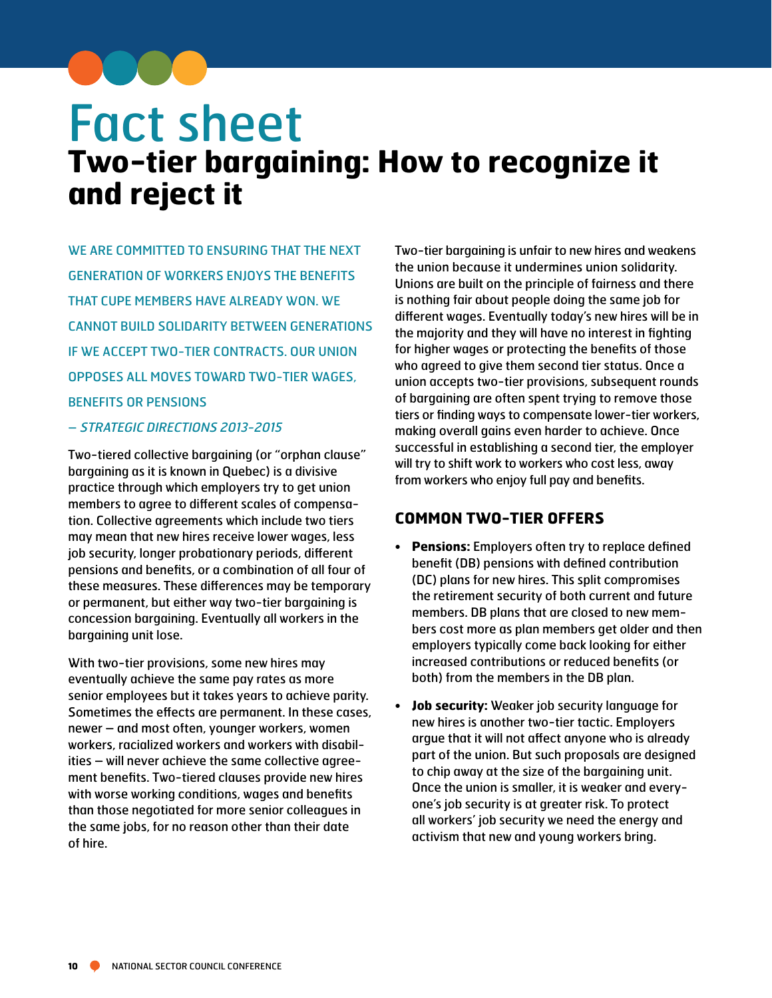

## Fact sheet **Two-tier bargaining: How to recognize it and reject it**

WE ARE COMMITTED TO ENSURING THAT THE NEXT generation of workers enjoys the benefits that CUPE members have already won. We cannot build solidarity between generations if we accept two-tier contracts. Our union opposes all moves toward two-tier wages, benefits or pensions

## – Strategic Directions 2013-2015

Two-tiered collective bargaining (or "orphan clause" bargaining as it is known in Quebec) is a divisive practice through which employers try to get union members to agree to different scales of compensation. Collective agreements which include two tiers may mean that new hires receive lower wages, less job security, longer probationary periods, different pensions and benefits, or a combination of all four of these measures. These differences may be temporary or permanent, but either way two-tier bargaining is concession bargaining. Eventually all workers in the bargaining unit lose.

With two-tier provisions, some new hires may eventually achieve the same pay rates as more senior employees but it takes years to achieve parity. Sometimes the effects are permanent. In these cases, newer – and most often, younger workers, women workers, racialized workers and workers with disabilities – will never achieve the same collective agreement benefits. Two-tiered clauses provide new hires with worse working conditions, wages and benefits than those negotiated for more senior colleagues in the same jobs, for no reason other than their date of hire.

Two-tier bargaining is unfair to new hires and weakens the union because it undermines union solidarity. Unions are built on the principle of fairness and there is nothing fair about people doing the same job for different wages. Eventually today's new hires will be in the majority and they will have no interest in fighting for higher wages or protecting the benefits of those who agreed to give them second tier status. Once a union accepts two-tier provisions, subsequent rounds of bargaining are often spent trying to remove those tiers or finding ways to compensate lower-tier workers, making overall gains even harder to achieve. Once successful in establishing a second tier, the employer will try to shift work to workers who cost less, away from workers who enjoy full pay and benefits.

## **Common two-tier offers**

- • **Pensions:** Employers often try to replace defined benefit (DB) pensions with defined contribution (DC) plans for new hires. This split compromises the retirement security of both current and future members. DB plans that are closed to new members cost more as plan members get older and then employers typically come back looking for either increased contributions or reduced benefits (or both) from the members in the DB plan.
- • **Job security:** Weaker job security language for new hires is another two-tier tactic. Employers argue that it will not affect anyone who is already part of the union. But such proposals are designed to chip away at the size of the bargaining unit. Once the union is smaller, it is weaker and everyone's job security is at greater risk. To protect all workers' job security we need the energy and activism that new and young workers bring.